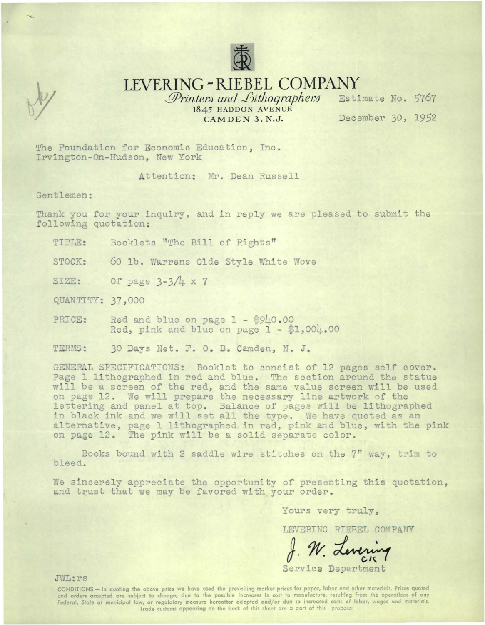

LEVERING-RIEBEL COMPANY

Printers and Lithographers 1845 HADDON AVENUE CAMDEN 3, N.J.

Estimate No. 5767 December 30, 1952

The Foundation for Economic Education. Inc. Irvington-On-Hudson, New York

Attention: Mr. Dean Russell

Gentlemen:

Thank you for your inquiry, and in reply we are pleased to submit the following quotation:

Booklets "The Bill of Rights" TITLE:

STOCK: 60 lb. Warrens Olde Style White Wove

Of page  $3-3/4 \times 7$ SIZE:

QUANTITY: 37,000

Red and blue on page  $1 - $9\mu 0.00$ PRICE: Red, pink and blue on page 1 - \$1,004.00

TERMS: 30 Days Net. F. O. B. Camden, N. J.

GENERAL SPECIFICATIONS: Booklet to consist of 12 pages self cover. Page 1 lithographed in red and blue. The section around the statue will be a screen of the red, and the same value screen will be used on page 12. We will prepare the necessary line artwork of the lettering and panel at top. Balance of pages will be lithographed in black ink and we will set all the type. We have quoted as an alternative, page 1 lithographed in red, pink and blue, with the pink on page 12. The pink will be a solid separate color.

Books bound with 2 saddle wire stitches on the 7" way, trim to bleed.

We sincerely appreciate the opportunity of presenting this quotation, and trust that we may be favored with your order.

Yours very truly,

LEVERING RIEBEL COMPANY

Service Department

JWL:rs

CONDITIONS - In quoting the above price we have used the prevailing market prices for paper, labor and other materials. Prices quoted and orders accepted are subject to change, due to the possible increases in cost to manufacture, resulting from the operations of any Federal, State or Municipal law, or regulatory measure hereafter adopted and/or due to increased costs of labor, wages and materials. Trade customs appearing on the back of this sheet are a part of this proposal